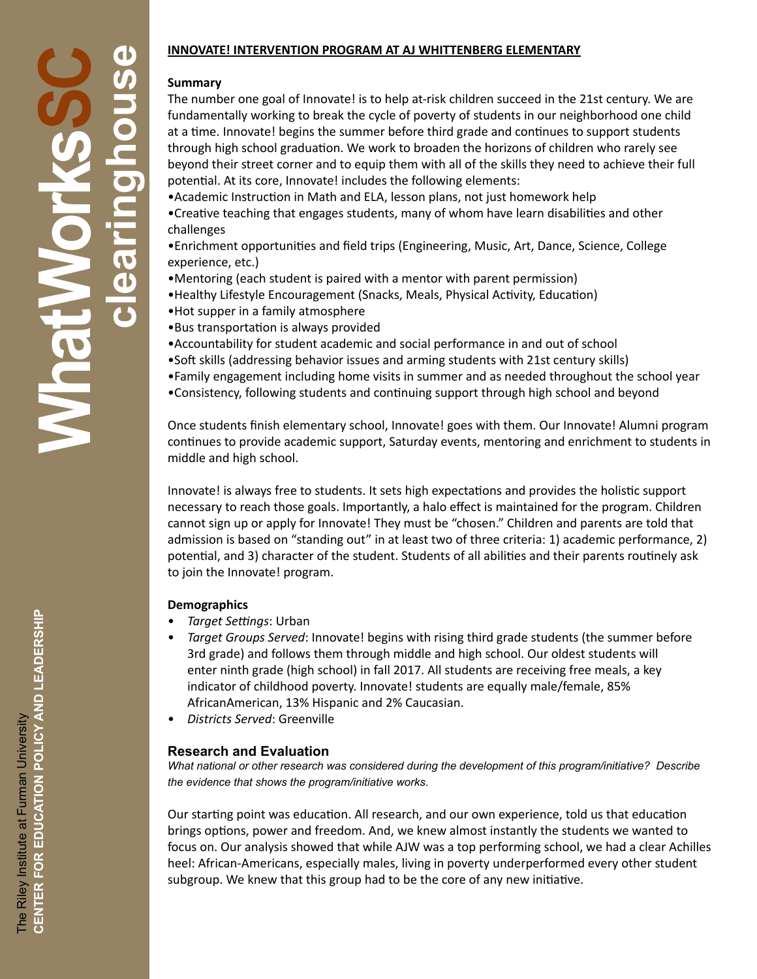# **INNOVATE! INTERVENTION PROGRAM AT AJ WHITTENBERG ELEMENTARY**

#### **Summary**

The number one goal of Innovate! is to help at-risk children succeed in the 21st century. We are fundamentally working to break the cycle of poverty of students in our neighborhood one child at a time. Innovate! begins the summer before third grade and continues to support students through high school graduation. We work to broaden the horizons of children who rarely see beyond their street corner and to equip them with all of the skills they need to achieve their full potential. At its core, Innovate! includes the following elements:

•Academic Instruction in Math and ELA, lesson plans, not just homework help

•Creative teaching that engages students, many of whom have learn disabilities and other challenges

•Enrichment opportunities and field trips (Engineering, Music, Art, Dance, Science, College experience, etc.)

- •Mentoring (each student is paired with a mentor with parent permission)
- •Healthy Lifestyle Encouragement (Snacks, Meals, Physical Activity, Education)
- •Hot supper in a family atmosphere
- •Bus transportation is always provided
- •Accountability for student academic and social performance in and out of school
- •Soft skills (addressing behavior issues and arming students with 21st century skills)
- •Family engagement including home visits in summer and as needed throughout the school year
- •Consistency, following students and continuing support through high school and beyond

Once students finish elementary school, Innovate! goes with them. Our Innovate! Alumni program continues to provide academic support, Saturday events, mentoring and enrichment to students in middle and high school.

Innovate! is always free to students. It sets high expectations and provides the holistic support necessary to reach those goals. Importantly, a halo effect is maintained for the program. Children cannot sign up or apply for Innovate! They must be "chosen." Children and parents are told that admission is based on "standing out" in at least two of three criteria: 1) academic performance, 2) potential, and 3) character of the student. Students of all abilities and their parents routinely ask to join the Innovate! program.

#### **Demographics**

- *Target Settings*: Urban
- *Target Groups Served*: Innovate! begins with rising third grade students (the summer before 3rd grade) and follows them through middle and high school. Our oldest students will enter ninth grade (high school) in fall 2017. All students are receiving free meals, a key indicator of childhood poverty. Innovate! students are equally male/female, 85% AfricanAmerican, 13% Hispanic and 2% Caucasian.
- *Districts Served*: Greenville

### **Research and Evaluation**

*What national or other research was considered during the development of this program/initiative? Describe the evidence that shows the program/initiative works*.

Our starting point was education. All research, and our own experience, told us that education brings options, power and freedom. And, we knew almost instantly the students we wanted to focus on. Our analysis showed that while AJW was a top performing school, we had a clear Achilles heel: African-Americans, especially males, living in poverty underperformed every other student subgroup. We knew that this group had to be the core of any new initiative.

**WhatWorksSC**

Mnat

**clearinghouse**